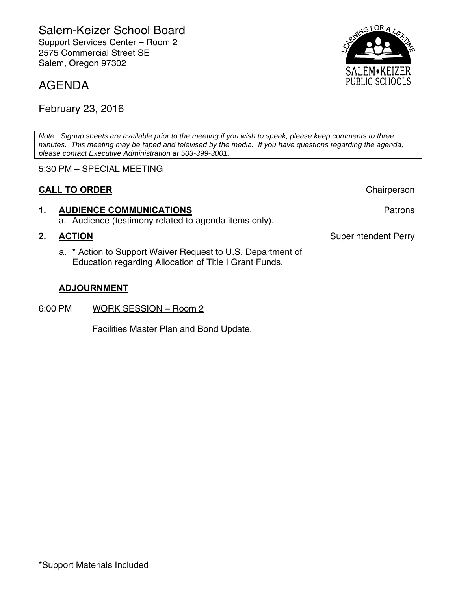## AGENDA

February 23, 2016

*Note: Signup sheets are available prior to the meeting if you wish to speak; please keep comments to three minutes. This meeting may be taped and televised by the media. If you have questions regarding the agenda, please contact Executive Administration at 503-399-3001.* 

5:30 PM – SPECIAL MEETING

### **CALL TO ORDER** Chairperson

# **1. AUDIENCE COMMUNICATIONS Patrons**

a. Audience (testimony related to agenda items only).

a. \* Action to Support Waiver Request to U.S. Department of Education regarding Allocation of Title I Grant Funds.

#### **ADJOURNMENT**

6:00 PM WORK SESSION – Room 2

Facilities Master Plan and Bond Update.



**2. ACTION Superintendent Perry**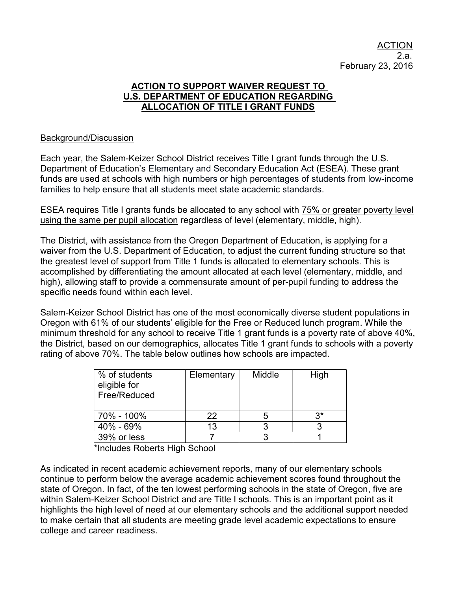#### ACTION TO SUPPORT WAIVER REQUEST TO U.S. DEPARTMENT OF EDUCATION REGARDING ALLOCATION OF TITLE I GRANT FUNDS

#### Background/Discussion

Each year, the Salem-Keizer School District receives Title I grant funds through the U.S. Department of Education's Elementary and Secondary Education Act (ESEA). These grant funds are used at schools with high numbers or high percentages of students from low-income families to help ensure that all students meet state academic standards.

ESEA requires Title I grants funds be allocated to any school with 75% or greater poverty level using the same per pupil allocation regardless of level (elementary, middle, high).

The District, with assistance from the Oregon Department of Education, is applying for a waiver from the U.S. Department of Education, to adjust the current funding structure so that the greatest level of support from Title 1 funds is allocated to elementary schools. This is accomplished by differentiating the amount allocated at each level (elementary, middle, and high), allowing staff to provide a commensurate amount of per-pupil funding to address the specific needs found within each level.

Salem-Keizer School District has one of the most economically diverse student populations in Oregon with 61% of our students' eligible for the Free or Reduced lunch program. While the minimum threshold for any school to receive Title 1 grant funds is a poverty rate of above 40%, the District, based on our demographics, allocates Title 1 grant funds to schools with a poverty rating of above 70%. The table below outlines how schools are impacted.

| % of students<br>eligible for<br>Free/Reduced | Elementary | Middle | High |
|-----------------------------------------------|------------|--------|------|
| 70% - 100%                                    | つつ         |        | ۹*,  |
| 40% - 69%                                     | 13         |        |      |
| 39% or less                                   |            |        |      |

\*Includes Roberts High School

As indicated in recent academic achievement reports, many of our elementary schools continue to perform below the average academic achievement scores found throughout the state of Oregon. In fact, of the ten lowest performing schools in the state of Oregon, five are within Salem-Keizer School District and are Title I schools. This is an important point as it highlights the high level of need at our elementary schools and the additional support needed to make certain that all students are meeting grade level academic expectations to ensure college and career readiness.